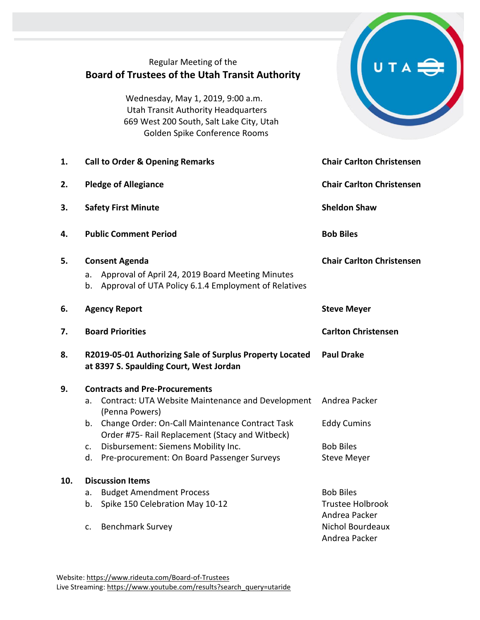|     | Regular Meeting of the<br><b>Board of Trustees of the Utah Transit Authority</b><br>Wednesday, May 1, 2019, 9:00 a.m.<br><b>Utah Transit Authority Headquarters</b><br>669 West 200 South, Salt Lake City, Utah<br>Golden Spike Conference Rooms                                                                                 |                                                                                                   |
|-----|----------------------------------------------------------------------------------------------------------------------------------------------------------------------------------------------------------------------------------------------------------------------------------------------------------------------------------|---------------------------------------------------------------------------------------------------|
| 1.  | <b>Call to Order &amp; Opening Remarks</b>                                                                                                                                                                                                                                                                                       | <b>Chair Carlton Christensen</b>                                                                  |
| 2.  | <b>Pledge of Allegiance</b>                                                                                                                                                                                                                                                                                                      | <b>Chair Carlton Christensen</b>                                                                  |
| 3.  | <b>Safety First Minute</b>                                                                                                                                                                                                                                                                                                       | <b>Sheldon Shaw</b>                                                                               |
| 4.  | <b>Public Comment Period</b>                                                                                                                                                                                                                                                                                                     | <b>Bob Biles</b>                                                                                  |
| 5.  | <b>Consent Agenda</b><br>Approval of April 24, 2019 Board Meeting Minutes<br>a.<br>Approval of UTA Policy 6.1.4 Employment of Relatives<br>b.                                                                                                                                                                                    | <b>Chair Carlton Christensen</b>                                                                  |
| 6.  | <b>Agency Report</b>                                                                                                                                                                                                                                                                                                             | <b>Steve Meyer</b>                                                                                |
| 7.  | <b>Board Priorities</b>                                                                                                                                                                                                                                                                                                          | <b>Carlton Christensen</b>                                                                        |
| 8.  | R2019-05-01 Authorizing Sale of Surplus Property Located<br>at 8397 S. Spaulding Court, West Jordan                                                                                                                                                                                                                              | <b>Paul Drake</b>                                                                                 |
| 9.  | <b>Contracts and Pre-Procurements</b><br>Contract: UTA Website Maintenance and Development<br>a.<br>(Penna Powers)<br>Change Order: On-Call Maintenance Contract Task<br>b.<br>Order #75- Rail Replacement (Stacy and Witbeck)<br>Disbursement: Siemens Mobility Inc.<br>c.<br>Pre-procurement: On Board Passenger Surveys<br>d. | Andrea Packer<br><b>Eddy Cumins</b><br><b>Bob Biles</b><br><b>Steve Meyer</b>                     |
| 10. | <b>Discussion Items</b><br><b>Budget Amendment Process</b><br>a.<br>Spike 150 Celebration May 10-12<br>b.<br><b>Benchmark Survey</b><br>c.                                                                                                                                                                                       | <b>Bob Biles</b><br><b>Trustee Holbrook</b><br>Andrea Packer<br>Nichol Bourdeaux<br>Andrea Packer |